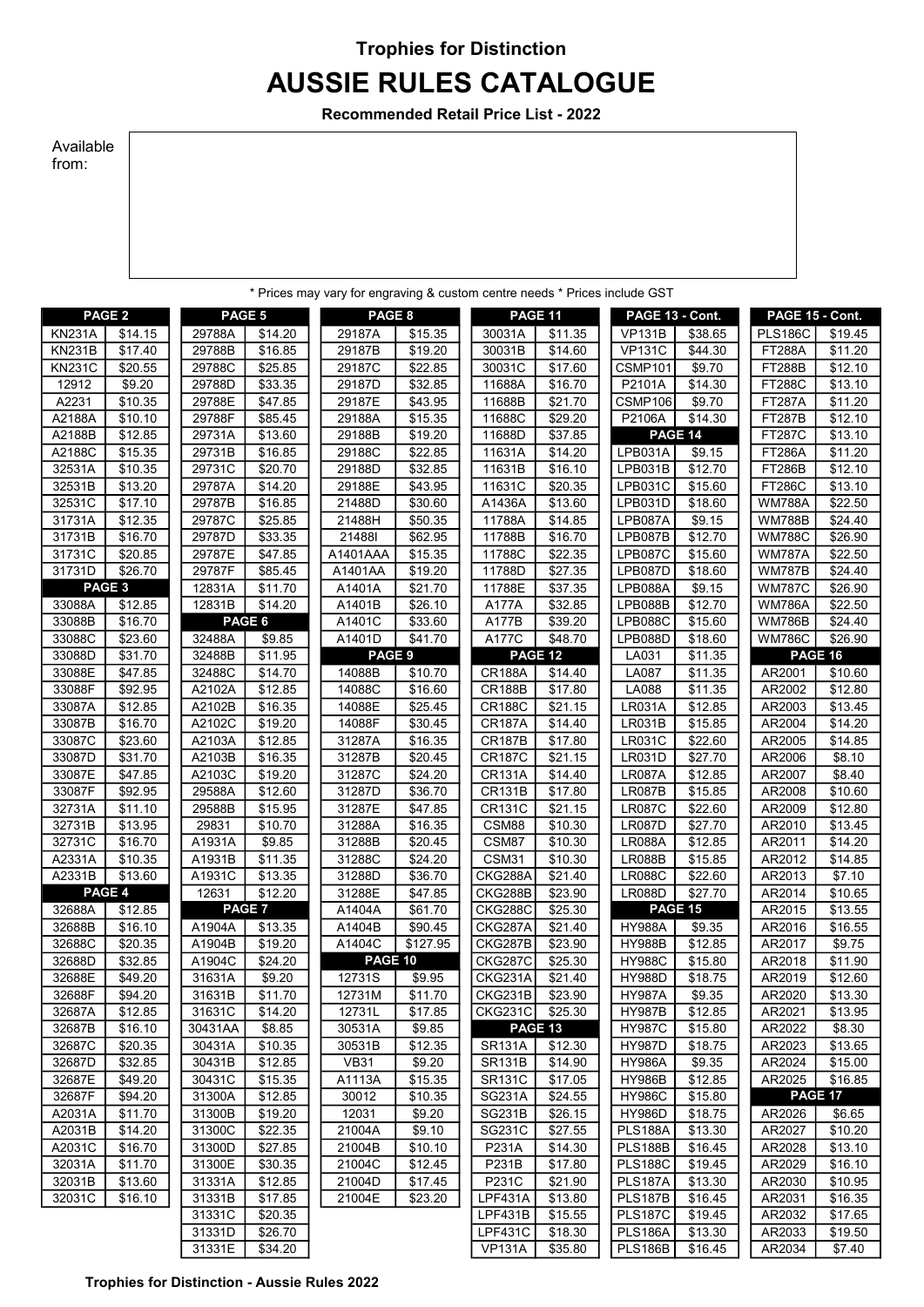## Trophies for Distinction AUSSIE RULES CATALOGUE

Recommended Retail Price List - 2022

## Available from:

|                   |                    |                  |                     | * Prices may vary for engraving & custom centre needs * Prices include GST |                    |                           |                     |                                  |                     |                                |                     |
|-------------------|--------------------|------------------|---------------------|----------------------------------------------------------------------------|--------------------|---------------------------|---------------------|----------------------------------|---------------------|--------------------------------|---------------------|
| PAGE <sub>2</sub> |                    | PAGE 5           |                     | PAGE 8                                                                     |                    | PAGE 11                   |                     | PAGE 13 - Cont.                  |                     | PAGE 15 - Cont.                |                     |
| <b>KN231A</b>     | \$14.15            | 29788A           | \$14.20             | 29187A                                                                     | \$15.35            | 30031A                    | \$11.35             | <b>VP131B</b>                    | \$38.65             | <b>PLS186C</b>                 | \$19.45             |
| <b>KN231B</b>     | $\sqrt{$17.40}$    | 29788B           | $\overline{$}16.85$ | 29187B                                                                     | \$19.20            | 30031B                    | $\overline{$}14.60$ | <b>VP131C</b>                    | $\overline{$}44.30$ | <b>FT288A</b>                  | \$11.20             |
| <b>KN231C</b>     | \$20.55            | 29788C           | \$25.85             | 29187C                                                                     | \$22.85            | 30031C                    | \$17.60             | CSMP101                          | \$9.70              | <b>FT288B</b>                  | \$12.10             |
| 12912             | \$9.20             | 29788D           | \$33.35             | 29187D                                                                     | \$32.85            | 11688A                    | \$16.70             | P2101A                           | \$14.30             | <b>FT288C</b>                  | \$13.10             |
| A2231             | \$10.35            | 29788E           | \$47.85             | 29187E                                                                     | \$43.95            | 11688B                    | \$21.70             | CSMP106                          | \$9.70              | <b>FT287A</b>                  | \$11.20             |
| A2188A            | \$10.10            | 29788F           | \$85.45             | 29188A                                                                     | \$15.35            | 11688C                    | \$29.20             | P2106A                           | \$14.30             | <b>FT287B</b>                  | \$12.10             |
| A2188B            | \$12.85            | 29731A           | \$13.60             | 29188B                                                                     | \$19.20            | 11688D                    | \$37.85             |                                  | PAGE 14             | <b>FT287C</b>                  | \$13.10             |
| A2188C            | \$15.35            | 29731B           | \$16.85             | 29188C                                                                     | \$22.85            | 11631A                    | \$14.20             | LPB031A                          | \$9.15              | <b>FT286A</b>                  | $\overline{$}11.20$ |
| 32531A            | \$10.35            | 29731C           | \$20.70             | 29188D                                                                     | \$32.85            | 11631B                    | \$16.10             | LPB031B                          | \$12.70             | <b>FT286B</b>                  | $\overline{$}12.10$ |
| 32531B            | \$13.20            | 29787A           | \$14.20             | 29188E                                                                     | \$43.95            | 11631C                    | \$20.35             | <b>LPB031C</b>                   | \$15.60             | <b>FT286C</b>                  | \$13.10             |
| 32531C            | \$17.10            | 29787B           | \$16.85             | 21488D                                                                     | \$30.60            | A1436A                    | \$13.60             | LPB031D                          | \$18.60             | <b>WM788A</b>                  | \$22.50             |
| 31731A            | \$12.35            | 29787C           | \$25.85             | 21488H                                                                     | \$50.35            | 11788A                    | \$14.85             | LPB087A                          | \$9.15              | <b>WM788B</b>                  | \$24.40             |
| 31731B            | \$16.70<br>\$20.85 | 29787D           | \$33.35             | 21488                                                                      | \$62.95            | 11788B                    | \$16.70             | LPB087B                          | \$12.70             | <b>WM788C</b>                  | \$26.90             |
| 31731C<br>31731D  | \$26.70            | 29787E<br>29787F | \$47.85<br>\$85.45  | A1401AAA<br>A1401AA                                                        | \$15.35<br>\$19.20 | 11788C<br>11788D          | \$22.35<br>\$27.35  | <b>LPB087C</b><br>LPB087D        | \$15.60<br>\$18.60  | <b>WM787A</b><br><b>WM787B</b> | \$22.50<br>\$24.40  |
|                   | PAGE 3             | 12831A           | \$11.70             | A1401A                                                                     | \$21.70            | 11788E                    | \$37.35             | LPB088A                          | $\overline{$9.15}$  | <b>WM787C</b>                  | \$26.90             |
| 33088A            | \$12.85            | 12831B           | \$14.20             | A1401B                                                                     | \$26.10            | A177A                     | \$32.85             | LPB088B                          | \$12.70             | <b>WM786A</b>                  | \$22.50             |
| 33088B            | \$16.70            |                  | PAGE 6              | A1401C                                                                     | \$33.60            | A177B                     | \$39.20             | <b>LPB088C</b>                   | \$15.60             | <b>WM786B</b>                  | \$24.40             |
| 33088C            | \$23.60            | 32488A           | \$9.85              | A1401D                                                                     | \$41.70            | A177C                     | \$48.70             | LPB088D                          | \$18.60             | <b>WM786C</b>                  | \$26.90             |
| 33088D            | \$31.70            | 32488B           | \$11.95             | PAGE 9                                                                     |                    | PAGE 12                   |                     | LA031                            | \$11.35             |                                | PAGE 16             |
| 33088E            | \$47.85            | 32488C           | \$14.70             | 14088B                                                                     | \$10.70            | <b>CR188A</b>             | \$14.40             | <b>LA087</b>                     | \$11.35             | AR2001                         | \$10.60             |
| 33088F            | \$92.95            | A2102A           | \$12.85             | 14088C                                                                     | \$16.60            | <b>CR188B</b>             | \$17.80             | <b>LA088</b>                     | \$11.35             | AR2002                         | \$12.80             |
| 33087A            | \$12.85            | A2102B           | \$16.35             | 14088E                                                                     | \$25.45            | <b>CR188C</b>             | \$21.15             | <b>LR031A</b>                    | \$12.85             | AR2003                         | \$13.45             |
| 33087B            | \$16.70            | A2102C           | \$19.20             | 14088F                                                                     | \$30.45            | <b>CR187A</b>             | \$14.40             | <b>LR031B</b>                    | \$15.85             | AR2004                         | \$14.20             |
| 33087C            | \$23.60            | A2103A           | \$12.85             | 31287A                                                                     | \$16.35            | <b>CR187B</b>             | \$17.80             | <b>LR031C</b>                    | \$22.60             | AR2005                         | \$14.85             |
| 33087D            | \$31.70            | A2103B           | \$16.35             | 31287B                                                                     | \$20.45            | <b>CR187C</b>             | \$21.15             | <b>LR031D</b>                    | \$27.70             | AR2006                         | \$8.10              |
| 33087E            | \$47.85            | A2103C           | \$19.20             | 31287C                                                                     | \$24.20            | <b>CR131A</b>             | \$14.40             | <b>LR087A</b>                    | \$12.85             | AR2007                         | \$8.40              |
| 33087F            | \$92.95            | 29588A           | \$12.60             | 31287D                                                                     | \$36.70            | <b>CR131B</b>             | \$17.80             | <b>LR087B</b>                    | \$15.85             | AR2008                         | \$10.60             |
| 32731A            | \$11.10            | 29588B           | \$15.95             | 31287E                                                                     | \$47.85            | <b>CR131C</b>             | \$21.15             | <b>LR087C</b>                    | \$22.60             | AR2009                         | \$12.80             |
| 32731B            | \$13.95            | 29831            | \$10.70             | 31288A                                                                     | \$16.35            | CSM88                     | \$10.30             | <b>LR087D</b>                    | \$27.70             | AR2010                         | \$13.45             |
| 32731C            | \$16.70            | A1931A           | \$9.85              | 31288B                                                                     | \$20.45            | CSM87                     | \$10.30             | <b>LR088A</b>                    | \$12.85             | AR2011                         | \$14.20             |
| A2331A            | \$10.35            | A1931B           | \$11.35             | 31288C                                                                     | \$24.20            | CSM31                     | \$10.30             | <b>LR088B</b><br><b>LR088C</b>   | \$15.85             | AR2012                         | \$14.85             |
| A2331B            | \$13.60<br>PAGE 4  | A1931C<br>12631  | \$13.35<br>\$12.20  | 31288D<br>31288E                                                           | \$36.70<br>\$47.85 | CKG288A<br>CKG288B        | \$21.40<br>\$23.90  |                                  | \$22.60<br>\$27.70  | AR2013<br>AR2014               | \$7.10              |
| 32688A            | \$12.85            |                  | PAGE <sub>7</sub>   | A1404A                                                                     | \$61.70            | CKG288C                   | \$25.30             | <b>LR088D</b>                    | <b>PAGE 15</b>      | AR2015                         | \$10.65<br>\$13.55  |
| 32688B            | \$16.10            | A1904A           | \$13.35             | A1404B                                                                     | \$90.45            | CKG287A                   | \$21.40             | <b>HY988A</b>                    | \$9.35              | AR2016                         | \$16.55             |
| 32688C            | \$20.35            | A1904B           | \$19.20             | A1404C                                                                     | \$127.95           | CKG287B                   | \$23.90             | <b>HY988B</b>                    | \$12.85             | AR2017                         | \$9.75              |
| 32688D            | \$32.85            | A1904C           | \$24.20             | PAGE 10                                                                    |                    | <b>CKG287C</b>            | \$25.30             | <b>HY988C</b>                    | \$15.80             | AR2018                         | \$11.90             |
| 32688E            | \$49.20            | 31631A           | \$9.20              | 12731S                                                                     | \$9.95             | CKG231A                   | \$21.40             | <b>HY988D</b>                    | \$18.75             | AR2019                         | \$12.60             |
| 32688F            | \$94.20            | 31631B           | \$11.70             | 12731M                                                                     | \$11.70            | CKG231B                   | \$23.90             | <b>HY987A</b>                    | \$9.35              | AR2020                         | \$13.30             |
| 32687A            | \$12.85            | 31631C           | \$14.20             | 12731L                                                                     | \$17.85            | <b>CKG231C</b>            | \$25.30             | <b>HY987B</b>                    | \$12.85             | AR2021                         | \$13.95             |
| 32687B            | \$16.10            | 30431AA          | \$8.85              | 30531A                                                                     | \$9.85             | PAGE 13                   |                     | <b>HY987C</b>                    | \$15.80             | AR2022                         | \$8.30              |
| 32687C            | \$20.35            | 30431A           | \$10.35             | 30531B                                                                     | \$12.35            | <b>SR131A</b>             | \$12.30             | <b>HY987D</b>                    | \$18.75             | AR2023                         | \$13.65             |
| 32687D            | \$32.85            | 30431B           | \$12.85             | <b>VB31</b>                                                                | \$9.20             | <b>SR131B</b>             | \$14.90             | <b>HY986A</b>                    | \$9.35              | AR2024                         | \$15.00             |
| 32687E            | \$49.20            | 30431C           | \$15.35             | A1113A                                                                     | \$15.35            | <b>SR131C</b>             | \$17.05             | <b>HY986B</b>                    | \$12.85             | AR2025                         | \$16.85             |
| 32687F            | \$94.20            | 31300A           | \$12.85             | 30012                                                                      | \$10.35            | <b>SG231A</b>             | \$24.55             | <b>HY986C</b>                    | \$15.80             |                                | <b>PAGE 17</b>      |
| A2031A            | \$11.70            | 31300B           | \$19.20             | 12031                                                                      | \$9.20             | <b>SG231B</b>             | \$26.15             | <b>HY986D</b>                    | \$18.75             | AR2026                         | \$6.65              |
| A2031B            | \$14.20            | 31300C           | \$22.35             | 21004A                                                                     | \$9.10             | SG231C                    | \$27.55             | <b>PLS188A</b>                   | \$13.30             | AR2027                         | \$10.20             |
| A2031C            | \$16.70            | 31300D           | \$27.85             | 21004B                                                                     | \$10.10            | P231A                     | \$14.30             | <b>PLS188B</b>                   | \$16.45             | AR2028                         | \$13.10             |
| 32031A            | \$11.70            | 31300E           | \$30.35             | 21004C                                                                     | \$12.45            | P231B                     | \$17.80             | <b>PLS188C</b>                   | \$19.45             | AR2029                         | \$16.10             |
| 32031B            | \$13.60            | 31331A           | \$12.85             | 21004D                                                                     | \$17.45            | P231C                     | \$21.90             | <b>PLS187A</b>                   | \$13.30             | AR2030                         | \$10.95             |
| 32031C            | \$16.10            | 31331B<br>31331C | \$17.85<br>\$20.35  | 21004E                                                                     | \$23.20            | <b>LPF431A</b><br>LPF431B | \$13.80<br>\$15.55  | <b>PLS187B</b><br><b>PLS187C</b> | \$16.45<br>\$19.45  | AR2031<br>AR2032               | \$16.35<br>\$17.65  |
|                   |                    | 31331D           | \$26.70             |                                                                            |                    | <b>LPF431C</b>            | \$18.30             | <b>PLS186A</b>                   | \$13.30             | AR2033                         | \$19.50             |
|                   |                    | 31331E           | \$34.20             |                                                                            |                    | <b>VP131A</b>             | \$35.80             | <b>PLS186B</b>                   | \$16.45             | AR2034                         | \$7.40              |